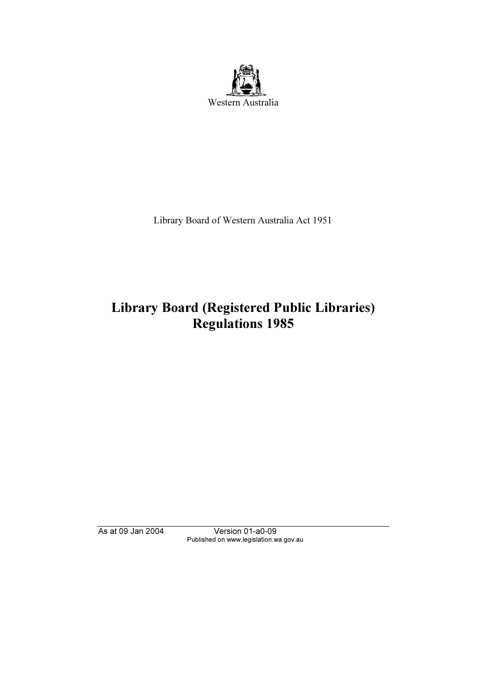

Library Board of Western Australia Act 1951

# Library Board (Registered Public Libraries) Regulations 1985

As at 09 Jan 2004 Version 01-a0-09 Published on www.legislation.wa.gov.au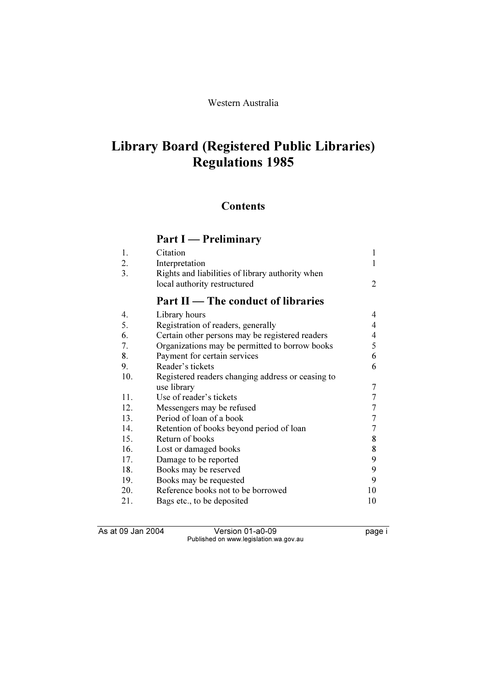# Library Board (Registered Public Libraries) Regulations 1985

## **Contents**

# Part I — Preliminary

| 1.  | Citation                                                                         |   |
|-----|----------------------------------------------------------------------------------|---|
| 2.  | Interpretation                                                                   |   |
| 3.  | Rights and liabilities of library authority when<br>local authority restructured | 2 |
|     |                                                                                  |   |
|     | Part II — The conduct of libraries                                               |   |
| 4.  | Library hours                                                                    | 4 |
| -5. | Registration of readers, generally                                               | 4 |
| 6.  | Certain other persons may be registered readers                                  | 4 |
| 7.  | Organizations may be permitted to borrow books                                   | 5 |
| 8.  | Payment for certain services                                                     | 6 |
| 9.  | Reader's tickets                                                                 | 6 |
| 10. | Registered readers changing address or ceasing to                                |   |
|     | use library                                                                      | 7 |
|     |                                                                                  |   |

|     | $100$ $1101$ $11$                        |    |
|-----|------------------------------------------|----|
| 11. | Use of reader's tickets                  |    |
| 12. | Messengers may be refused                |    |
| 13. | Period of loan of a book                 |    |
| 14. | Retention of books beyond period of loan |    |
| 15. | Return of books                          | 8  |
| 16. | Lost or damaged books                    | 8  |
| 17. | Damage to be reported                    | 9  |
| 18. | Books may be reserved                    | 9  |
| 19. | Books may be requested                   | 9  |
| 20. | Reference books not to be borrowed       | 10 |
| 21. | Bags etc., to be deposited               | 10 |

As at 09 Jan 2004 Version 01-a0-09 Page i Published on www.legislation.wa.gov.au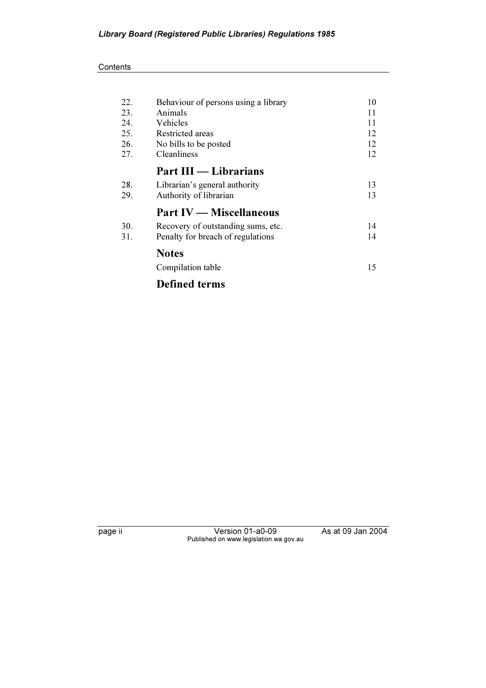#### **Contents**

| 22. | Behaviour of persons using a library | 10 |
|-----|--------------------------------------|----|
| 23. | Animals                              | 11 |
| 24. | Vehicles                             | 11 |
| 25. | Restricted areas                     | 12 |
| 26. | No bills to be posted                | 12 |
| 27. | Cleanliness                          | 12 |
|     | Part III — Librarians                |    |
| 28. | Librarian's general authority        | 13 |
| 29. | Authority of librarian               | 13 |
|     | <b>Part IV</b> — Miscellaneous       |    |
| 30. | Recovery of outstanding sums, etc.   | 14 |
| 31. | Penalty for breach of regulations    | 14 |
|     | <b>Notes</b>                         |    |
|     | Compilation table                    | 15 |
|     | <b>Defined terms</b>                 |    |

page ii Version 01-a0-09 As at 09 Jan 2004 Published on www.legislation.wa.gov.au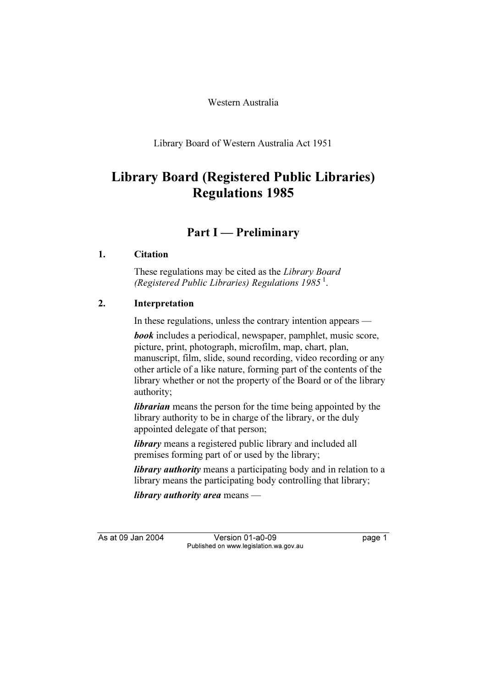Western Australia

Library Board of Western Australia Act 1951

# Library Board (Registered Public Libraries) Regulations 1985

# Part I — Preliminary

## 1. Citation

 These regulations may be cited as the Library Board (Registered Public Libraries) Regulations 1985<sup>1</sup>.

## 2. Interpretation

In these regulations, unless the contrary intention appears —

**book** includes a periodical, newspaper, pamphlet, music score, picture, print, photograph, microfilm, map, chart, plan, manuscript, film, slide, sound recording, video recording or any other article of a like nature, forming part of the contents of the library whether or not the property of the Board or of the library authority;

*librarian* means the person for the time being appointed by the library authority to be in charge of the library, or the duly appointed delegate of that person;

library means a registered public library and included all premises forming part of or used by the library;

*library authority* means a participating body and in relation to a library means the participating body controlling that library;

library authority area means —

As at 09 Jan 2004 Version 01-a0-09 Page 1 Published on www.legislation.wa.gov.au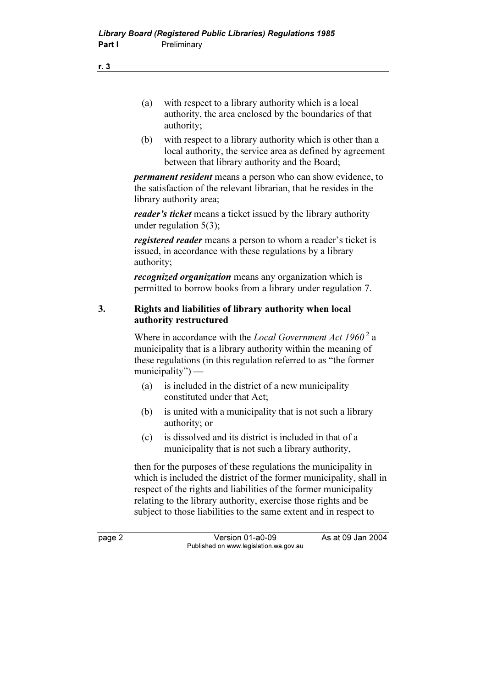- (a) with respect to a library authority which is a local authority, the area enclosed by the boundaries of that authority;
- (b) with respect to a library authority which is other than a local authority, the service area as defined by agreement between that library authority and the Board;

permanent resident means a person who can show evidence, to the satisfaction of the relevant librarian, that he resides in the library authority area;

reader's ticket means a ticket issued by the library authority under regulation 5(3);

registered reader means a person to whom a reader's ticket is issued, in accordance with these regulations by a library authority;

recognized organization means any organization which is permitted to borrow books from a library under regulation 7.

#### 3. Rights and liabilities of library authority when local authority restructured

Where in accordance with the *Local Government Act*  $1960^2$  a municipality that is a library authority within the meaning of these regulations (in this regulation referred to as "the former municipality") —

- (a) is included in the district of a new municipality constituted under that Act;
- (b) is united with a municipality that is not such a library authority; or
- (c) is dissolved and its district is included in that of a municipality that is not such a library authority,

 then for the purposes of these regulations the municipality in which is included the district of the former municipality, shall in respect of the rights and liabilities of the former municipality relating to the library authority, exercise those rights and be subject to those liabilities to the same extent and in respect to

page 2 Version 01-a0-09 As at 09 Jan 2004 Published on www.legislation.wa.gov.au

r. 3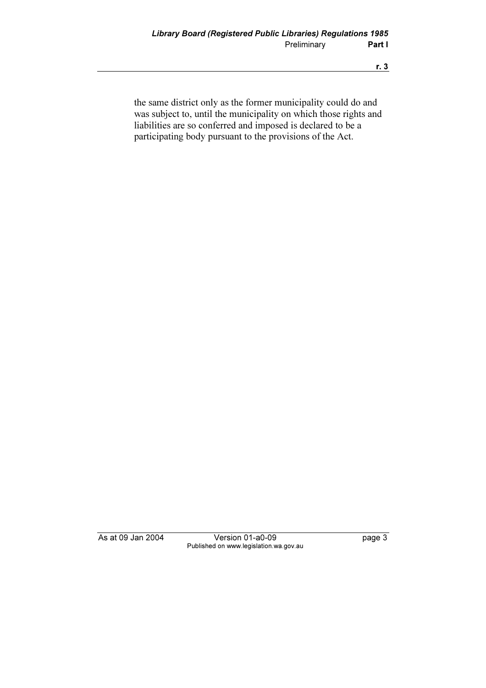the same district only as the former municipality could do and was subject to, until the municipality on which those rights and liabilities are so conferred and imposed is declared to be a participating body pursuant to the provisions of the Act.

As at 09 Jan 2004 Version 01-a0-09 Page 3 Published on www.legislation.wa.gov.au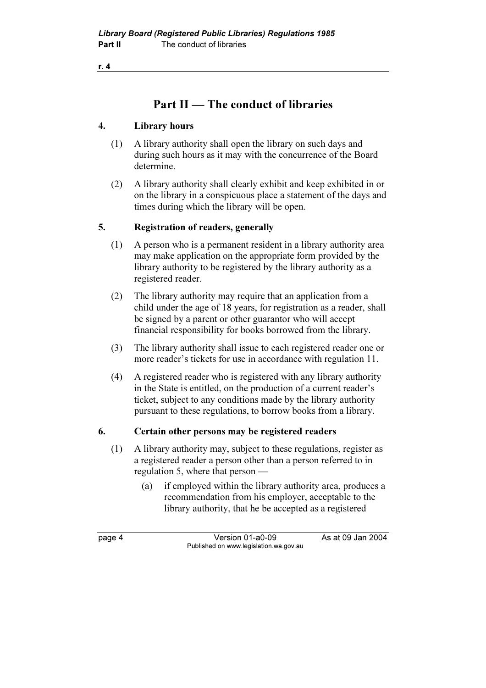## Part II — The conduct of libraries

## 4. Library hours

- (1) A library authority shall open the library on such days and during such hours as it may with the concurrence of the Board determine.
- (2) A library authority shall clearly exhibit and keep exhibited in or on the library in a conspicuous place a statement of the days and times during which the library will be open.

## 5. Registration of readers, generally

- (1) A person who is a permanent resident in a library authority area may make application on the appropriate form provided by the library authority to be registered by the library authority as a registered reader.
- (2) The library authority may require that an application from a child under the age of 18 years, for registration as a reader, shall be signed by a parent or other guarantor who will accept financial responsibility for books borrowed from the library.
- (3) The library authority shall issue to each registered reader one or more reader's tickets for use in accordance with regulation 11.
- (4) A registered reader who is registered with any library authority in the State is entitled, on the production of a current reader's ticket, subject to any conditions made by the library authority pursuant to these regulations, to borrow books from a library.

#### 6. Certain other persons may be registered readers

- (1) A library authority may, subject to these regulations, register as a registered reader a person other than a person referred to in regulation 5, where that person —
	- (a) if employed within the library authority area, produces a recommendation from his employer, acceptable to the library authority, that he be accepted as a registered

page 4 Version 01-a0-09 As at 09 Jan 2004 Published on www.legislation.wa.gov.au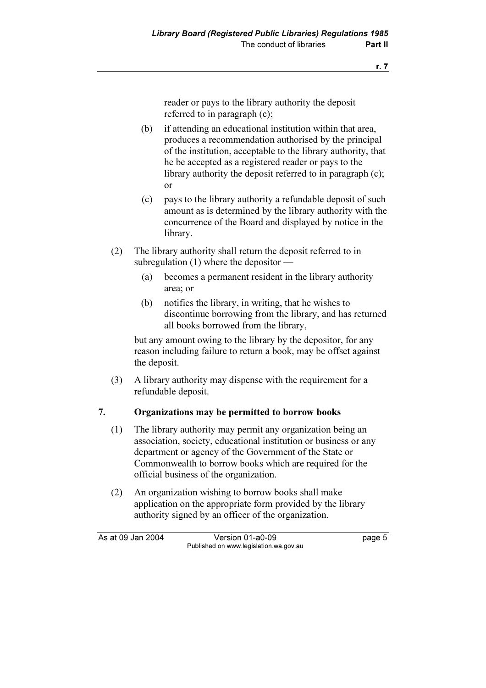reader or pays to the library authority the deposit referred to in paragraph (c);

- (b) if attending an educational institution within that area, produces a recommendation authorised by the principal of the institution, acceptable to the library authority, that he be accepted as a registered reader or pays to the library authority the deposit referred to in paragraph (c); or
- (c) pays to the library authority a refundable deposit of such amount as is determined by the library authority with the concurrence of the Board and displayed by notice in the library.
- (2) The library authority shall return the deposit referred to in subregulation (1) where the depositor —
	- (a) becomes a permanent resident in the library authority area; or
	- (b) notifies the library, in writing, that he wishes to discontinue borrowing from the library, and has returned all books borrowed from the library,

 but any amount owing to the library by the depositor, for any reason including failure to return a book, may be offset against the deposit.

 (3) A library authority may dispense with the requirement for a refundable deposit.

## 7. Organizations may be permitted to borrow books

- (1) The library authority may permit any organization being an association, society, educational institution or business or any department or agency of the Government of the State or Commonwealth to borrow books which are required for the official business of the organization.
- (2) An organization wishing to borrow books shall make application on the appropriate form provided by the library authority signed by an officer of the organization.

As at 09 Jan 2004 Version 01-a0-09 Page 5 Published on www.legislation.wa.gov.au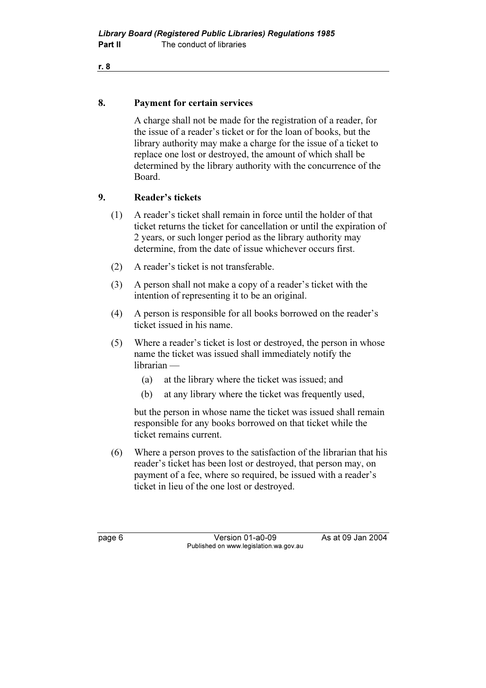#### 8. Payment for certain services

 A charge shall not be made for the registration of a reader, for the issue of a reader's ticket or for the loan of books, but the library authority may make a charge for the issue of a ticket to replace one lost or destroyed, the amount of which shall be determined by the library authority with the concurrence of the Board.

## 9. Reader's tickets

- (1) A reader's ticket shall remain in force until the holder of that ticket returns the ticket for cancellation or until the expiration of 2 years, or such longer period as the library authority may determine, from the date of issue whichever occurs first.
- (2) A reader's ticket is not transferable.
- (3) A person shall not make a copy of a reader's ticket with the intention of representing it to be an original.
- (4) A person is responsible for all books borrowed on the reader's ticket issued in his name.
- (5) Where a reader's ticket is lost or destroyed, the person in whose name the ticket was issued shall immediately notify the librarian —
	- (a) at the library where the ticket was issued; and
	- (b) at any library where the ticket was frequently used,

 but the person in whose name the ticket was issued shall remain responsible for any books borrowed on that ticket while the ticket remains current.

 (6) Where a person proves to the satisfaction of the librarian that his reader's ticket has been lost or destroyed, that person may, on payment of a fee, where so required, be issued with a reader's ticket in lieu of the one lost or destroyed.

page 6 Version 01-a0-09 As at 09 Jan 2004 Published on www.legislation.wa.gov.au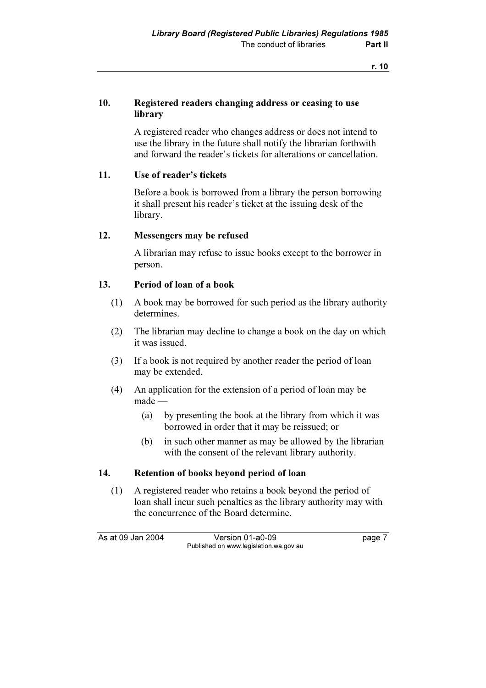## 10. Registered readers changing address or ceasing to use library

 A registered reader who changes address or does not intend to use the library in the future shall notify the librarian forthwith and forward the reader's tickets for alterations or cancellation.

## 11. Use of reader's tickets

 Before a book is borrowed from a library the person borrowing it shall present his reader's ticket at the issuing desk of the library.

#### 12. Messengers may be refused

 A librarian may refuse to issue books except to the borrower in person.

## 13. Period of loan of a book

- (1) A book may be borrowed for such period as the library authority determines.
- (2) The librarian may decline to change a book on the day on which it was issued.
- (3) If a book is not required by another reader the period of loan may be extended.
- (4) An application for the extension of a period of loan may be made —
	- (a) by presenting the book at the library from which it was borrowed in order that it may be reissued; or
	- (b) in such other manner as may be allowed by the librarian with the consent of the relevant library authority.

#### 14. Retention of books beyond period of loan

 (1) A registered reader who retains a book beyond the period of loan shall incur such penalties as the library authority may with the concurrence of the Board determine.

As at 09 Jan 2004 Version 01-a0-09 Page 7 Published on www.legislation.wa.gov.au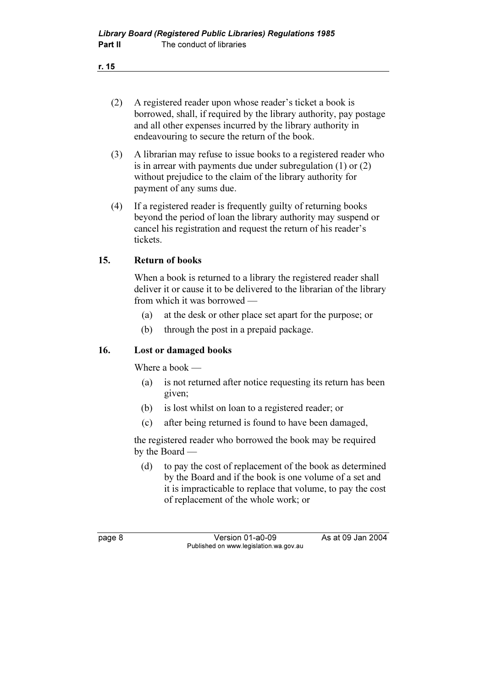- r. 15
	- (2) A registered reader upon whose reader's ticket a book is borrowed, shall, if required by the library authority, pay postage and all other expenses incurred by the library authority in endeavouring to secure the return of the book.
	- (3) A librarian may refuse to issue books to a registered reader who is in arrear with payments due under subregulation (1) or (2) without prejudice to the claim of the library authority for payment of any sums due.
	- (4) If a registered reader is frequently guilty of returning books beyond the period of loan the library authority may suspend or cancel his registration and request the return of his reader's tickets.

#### 15. Return of books

 When a book is returned to a library the registered reader shall deliver it or cause it to be delivered to the librarian of the library from which it was borrowed —

- (a) at the desk or other place set apart for the purpose; or
- (b) through the post in a prepaid package.

## 16. Lost or damaged books

Where a book —

- (a) is not returned after notice requesting its return has been given;
- (b) is lost whilst on loan to a registered reader; or
- (c) after being returned is found to have been damaged,

 the registered reader who borrowed the book may be required by the Board —

 (d) to pay the cost of replacement of the book as determined by the Board and if the book is one volume of a set and it is impracticable to replace that volume, to pay the cost of replacement of the whole work; or

page 8 Version 01-a0-09 As at 09 Jan 2004 Published on www.legislation.wa.gov.au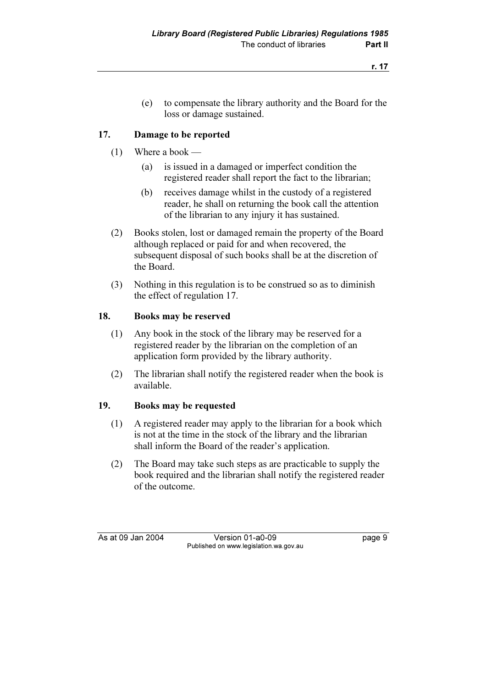(e) to compensate the library authority and the Board for the loss or damage sustained.

## 17. Damage to be reported

- (1) Where a book
	- (a) is issued in a damaged or imperfect condition the registered reader shall report the fact to the librarian;
	- (b) receives damage whilst in the custody of a registered reader, he shall on returning the book call the attention of the librarian to any injury it has sustained.
- (2) Books stolen, lost or damaged remain the property of the Board although replaced or paid for and when recovered, the subsequent disposal of such books shall be at the discretion of the Board.
- (3) Nothing in this regulation is to be construed so as to diminish the effect of regulation 17.

#### 18. Books may be reserved

- (1) Any book in the stock of the library may be reserved for a registered reader by the librarian on the completion of an application form provided by the library authority.
- (2) The librarian shall notify the registered reader when the book is available.

## 19. Books may be requested

- (1) A registered reader may apply to the librarian for a book which is not at the time in the stock of the library and the librarian shall inform the Board of the reader's application.
- (2) The Board may take such steps as are practicable to supply the book required and the librarian shall notify the registered reader of the outcome.

As at 09 Jan 2004 Version 01-a0-09 Page 9 Published on www.legislation.wa.gov.au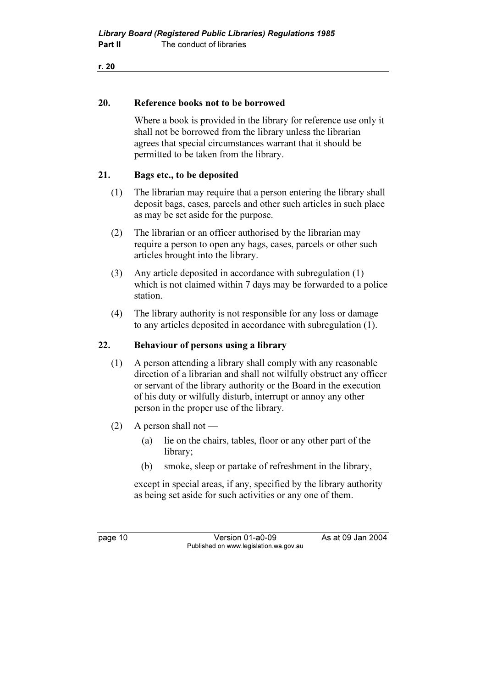#### 20. Reference books not to be borrowed

 Where a book is provided in the library for reference use only it shall not be borrowed from the library unless the librarian agrees that special circumstances warrant that it should be permitted to be taken from the library.

#### 21. Bags etc., to be deposited

- (1) The librarian may require that a person entering the library shall deposit bags, cases, parcels and other such articles in such place as may be set aside for the purpose.
- (2) The librarian or an officer authorised by the librarian may require a person to open any bags, cases, parcels or other such articles brought into the library.
- (3) Any article deposited in accordance with subregulation (1) which is not claimed within 7 days may be forwarded to a police station.
- (4) The library authority is not responsible for any loss or damage to any articles deposited in accordance with subregulation (1).

#### 22. Behaviour of persons using a library

- (1) A person attending a library shall comply with any reasonable direction of a librarian and shall not wilfully obstruct any officer or servant of the library authority or the Board in the execution of his duty or wilfully disturb, interrupt or annoy any other person in the proper use of the library.
- (2) A person shall not
	- (a) lie on the chairs, tables, floor or any other part of the library;
	- (b) smoke, sleep or partake of refreshment in the library,

 except in special areas, if any, specified by the library authority as being set aside for such activities or any one of them.

page 10 Version 01-a0-09 As at 09 Jan 2004 Published on www.legislation.wa.gov.au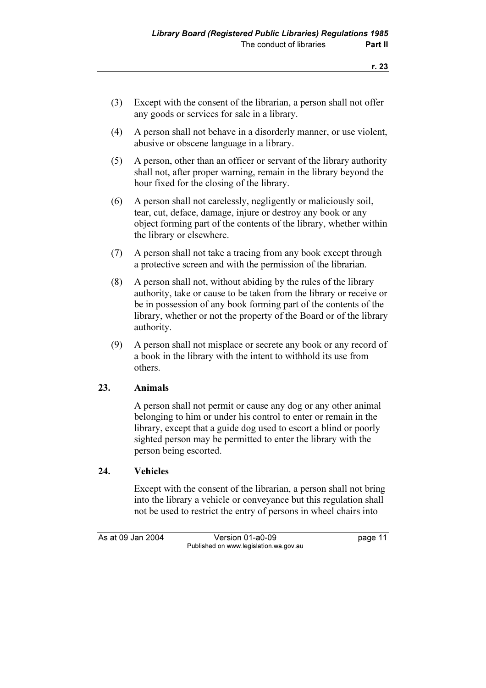- (3) Except with the consent of the librarian, a person shall not offer any goods or services for sale in a library.
- (4) A person shall not behave in a disorderly manner, or use violent, abusive or obscene language in a library.
- (5) A person, other than an officer or servant of the library authority shall not, after proper warning, remain in the library beyond the hour fixed for the closing of the library.
- (6) A person shall not carelessly, negligently or maliciously soil, tear, cut, deface, damage, injure or destroy any book or any object forming part of the contents of the library, whether within the library or elsewhere.
- (7) A person shall not take a tracing from any book except through a protective screen and with the permission of the librarian.
- (8) A person shall not, without abiding by the rules of the library authority, take or cause to be taken from the library or receive or be in possession of any book forming part of the contents of the library, whether or not the property of the Board or of the library authority.
- (9) A person shall not misplace or secrete any book or any record of a book in the library with the intent to withhold its use from others.

## 23. Animals

 A person shall not permit or cause any dog or any other animal belonging to him or under his control to enter or remain in the library, except that a guide dog used to escort a blind or poorly sighted person may be permitted to enter the library with the person being escorted.

## 24. Vehicles

 Except with the consent of the librarian, a person shall not bring into the library a vehicle or conveyance but this regulation shall not be used to restrict the entry of persons in wheel chairs into

As at 09 Jan 2004 Version 01-a0-09 Published on www.legislation.wa.gov.au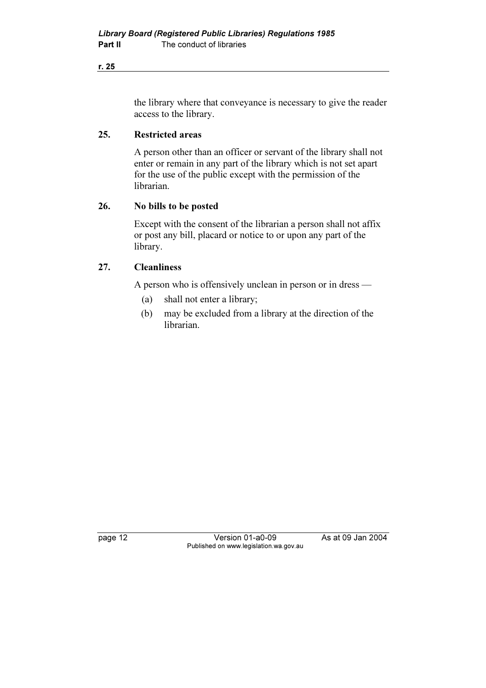the library where that conveyance is necessary to give the reader access to the library.

#### 25. Restricted areas

 A person other than an officer or servant of the library shall not enter or remain in any part of the library which is not set apart for the use of the public except with the permission of the librarian.

#### 26. No bills to be posted

 Except with the consent of the librarian a person shall not affix or post any bill, placard or notice to or upon any part of the library.

## 27. Cleanliness

A person who is offensively unclean in person or in dress —

- (a) shall not enter a library;
- (b) may be excluded from a library at the direction of the librarian.

page 12 Version 01-a0-09 As at 09 Jan 2004 Published on www.legislation.wa.gov.au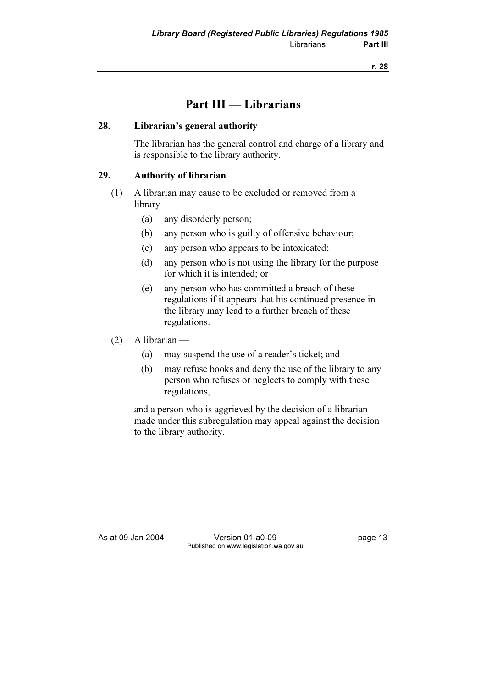# Part III — Librarians

## 28. Librarian's general authority

 The librarian has the general control and charge of a library and is responsible to the library authority.

## 29. Authority of librarian

- (1) A librarian may cause to be excluded or removed from a library —
	- (a) any disorderly person;
	- (b) any person who is guilty of offensive behaviour;
	- (c) any person who appears to be intoxicated;
	- (d) any person who is not using the library for the purpose for which it is intended; or
	- (e) any person who has committed a breach of these regulations if it appears that his continued presence in the library may lead to a further breach of these regulations.
- (2) A librarian
	- (a) may suspend the use of a reader's ticket; and
	- (b) may refuse books and deny the use of the library to any person who refuses or neglects to comply with these regulations,

 and a person who is aggrieved by the decision of a librarian made under this subregulation may appeal against the decision to the library authority.

As at 09 Jan 2004 Version 01-a0-09 Page 13 Published on www.legislation.wa.gov.au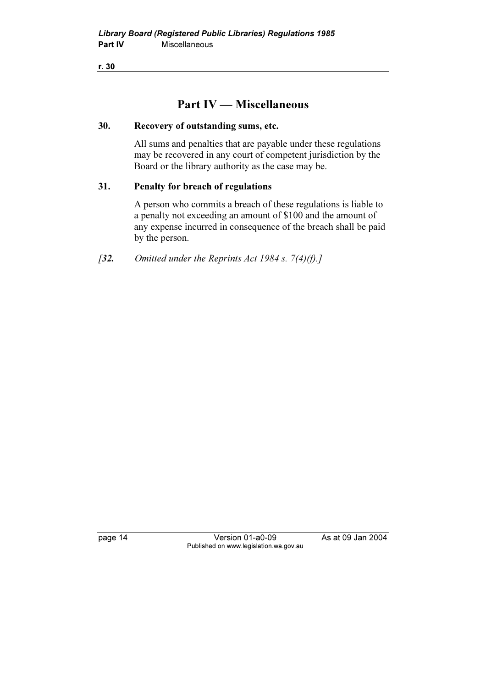# Part IV — Miscellaneous

#### 30. Recovery of outstanding sums, etc.

 All sums and penalties that are payable under these regulations may be recovered in any court of competent jurisdiction by the Board or the library authority as the case may be.

## 31. Penalty for breach of regulations

 A person who commits a breach of these regulations is liable to a penalty not exceeding an amount of \$100 and the amount of any expense incurred in consequence of the breach shall be paid by the person.

[32. Omitted under the Reprints Act 1984 s.  $7(4)(f)$ .]

page 14 Version 01-a0-09 As at 09 Jan 2004 Published on www.legislation.wa.gov.au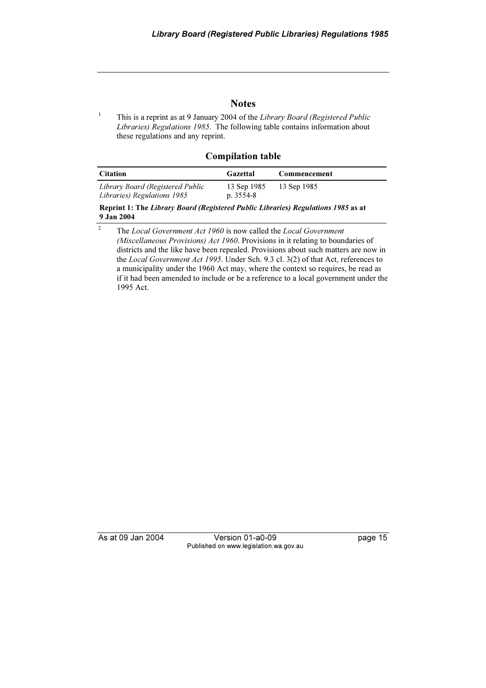#### **Notes**

 This is a reprint as at 9 January 2004 of the Library Board (Registered Public Libraries) Regulations 1985. The following table contains information about these regulations and any reprint.

Compilation table

| <b>Citation</b>                                                 | Gazettal                   | Commencement |
|-----------------------------------------------------------------|----------------------------|--------------|
| Library Board (Registered Public<br>Libraries) Regulations 1985 | 13 Sep 1985<br>p. $3554-8$ | 13 Sep 1985  |

Reprint 1: The Library Board (Registered Public Libraries) Regulations 1985 as at 9 Jan 2004

<sup>2</sup> The *Local Government Act 1960* is now called the *Local Government* (Miscellaneous Provisions) Act 1960. Provisions in it relating to boundaries of districts and the like have been repealed. Provisions about such matters are now in the Local Government Act 1995. Under Sch. 9.3 cl. 3(2) of that Act, references to a municipality under the 1960 Act may, where the context so requires, be read as if it had been amended to include or be a reference to a local government under the 1995 Act.

1

As at 09 Jan 2004 Version 01-a0-09 Page 15 Published on www.legislation.wa.gov.au